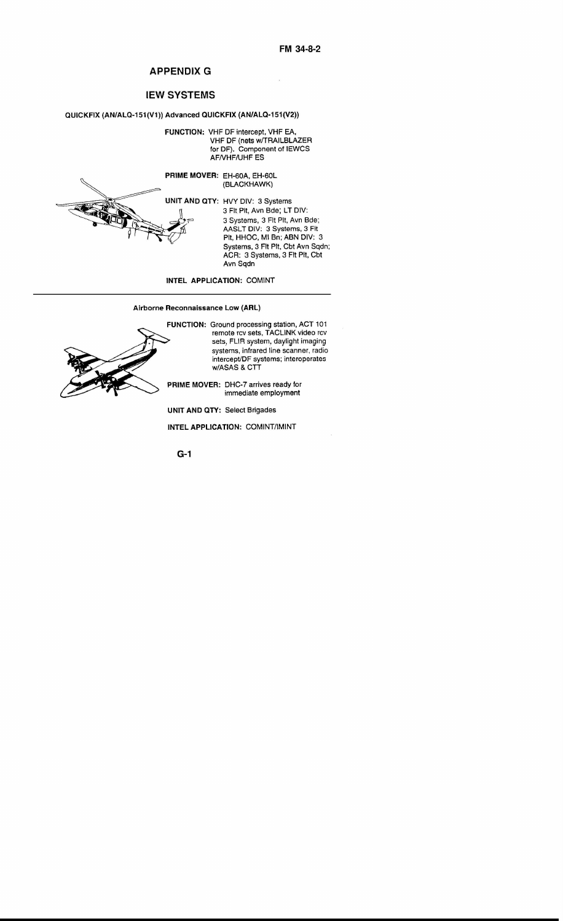## APPENDIX G

## IEW SYSTEMS

## QUICKFIX (AN/ALQ-151(V1)) Advanced QUICKFIX (AN/ALQ-151 (V2))

FUNCTION: VHF OF intercept. VHF EA. VHF DF (nets w/TRAILBLAZEF for OF). Component of IEWCS AFNHF/UHF ES



PRIME MOVER: EH-60A, EH-60L (BLACKHAWK)

> HVY DIV: 3 Systems 3 Fit Pit, Avn Bde; LT DIV: 3 Systems, 3 Fit Pit, Avn Bde; AASLT DIV: 3 Systems, 3 Fit Pit. HHOC, MI Bn; ABN DIV: 3 Systems, 3 Fit Pit, Cbt Avn Sqdn; ACR: 3 Systems, 3 Fit Pit, Cb Avn Sqdn

INTEL APPLICATION: COMINT

Airborne Reconnaissance Low (ARL)



FUNCTION: Ground processing station, ACT 101 remote rcv sets, TACUNK video rcv sets, FUR system, daylight imaging systems, infrared line scanner, radio intercept/DF systems; interoperate w/ASAS & CTT

PRIME MOVER: DHC-7 arrives ready for immediate employment

UNIT AND QTY: Select Brigades

INTEL APPLICATION: COMINT/IMINT

G-1